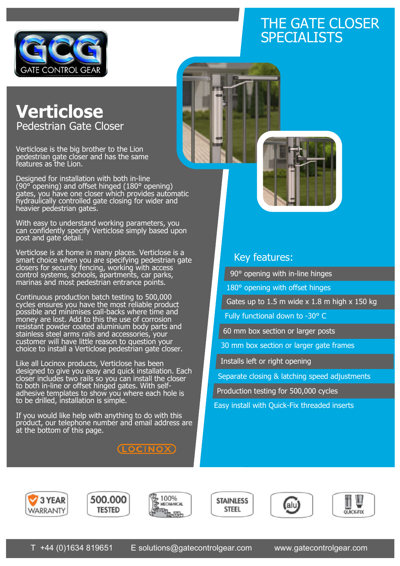

## THE GATE CLOSER SPECIALISTS



Verticlose is the big brother to the Lion pedestrian gate closer and has the same features as the Lion.

Designed for installation with both in-line (90° opening) and offset hinged (180° opening) gates, you have one closer which provides automatic hydraulically controlled gate closing for wider and heavier pedestrian gates.

With easy to understand working parameters, you can confidently specify Verticlose simply based upon post and gate detail.

Verticlose is at home in many places. Verticlose is a smart choice when you are specifying pedestrian gate closers for security fencing, working with access control systems, schools, apartments, car parks, marinas and most pedestrian entrance points.

Continuous production batch testing to 500,000 cycles ensures you have the most reliable product possible and minimises call-backs where time and money are lost. Add to this the use of corrosion resistant powder coated aluminium body parts and stainless steel arms rails and accessories, your customer will have little reason to question your choice to install a Verticlose pedestrian gate closer.

Like all Locinox products, Verticlose has been designed to give you easy and quick installation. Each closer includes two rails so you can install the closer to both in-line or offset hinged gates. With selfadhesive templates to show you where each hole is to be drilled, installation is simple.

If you would like help with anything to do with this product, our telephone number and email address are at the bottom of this page.

(LOCINOX)



## Key features:

90° opening with in-line hinges

180° opening with offset hinges

Gates up to  $1.5$  m wide  $x$  1.8 m high  $x$  150 kg

Fully functional down to -30° C

60 mm box section or larger posts

30 mm box section or larger gate frames

Installs left or right opening

Separate closing & latching speed adjustments

Production testing for 500,000 cycles

Easy install with Quick-Fix threaded inserts











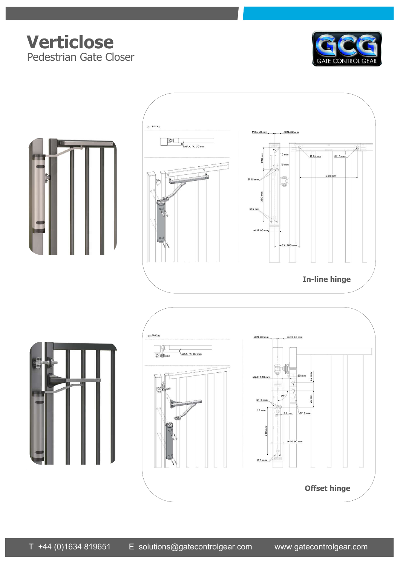## **Verticlose** Pedestrian Gate Closer